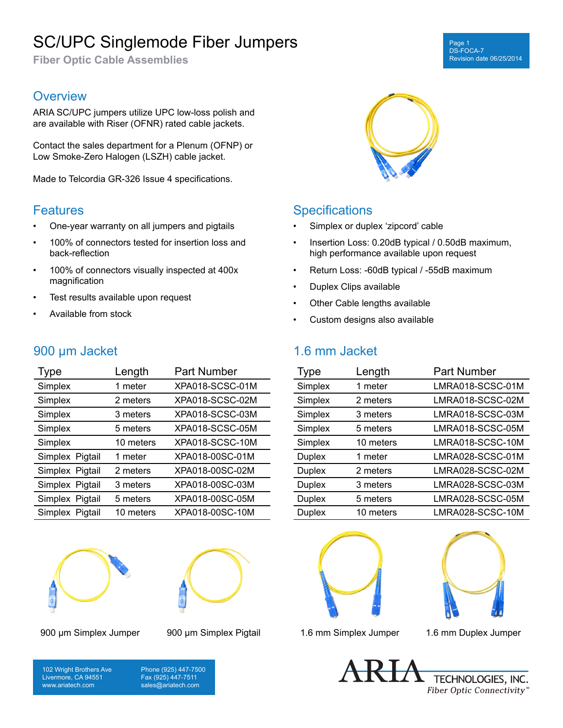# SC/UPC Singlemode Fiber Jumpers

**Fiber Optic Cable Assemblies**

#### Page DS-FOCA-7 Revision date 06/25/2014

### **Overview**

ARIA SC/UPC jumpers utilize UPC low-loss polish and are available with Riser (OFNR) rated cable jackets.

Contact the sales department for a Plenum (OFNP) or Low Smoke-Zero Halogen (LSZH) cable jacket.

Made to Telcordia GR-326 Issue 4 specifications.

#### **Features**

- One-year warranty on all jumpers and pigtails
- 100% of connectors tested for insertion loss and back-reflection
- 100% of connectors visually inspected at 400x magnification
- Test results available upon request
- Available from stock

# 900 µm Jacket

| <b>Type</b>     | Length    | <b>Part Number</b> |
|-----------------|-----------|--------------------|
| Simplex         | 1 meter   | XPA018-SCSC-01M    |
| Simplex         | 2 meters  | XPA018-SCSC-02M    |
| Simplex         | 3 meters  | XPA018-SCSC-03M    |
| Simplex         | 5 meters  | XPA018-SCSC-05M    |
| Simplex         | 10 meters | XPA018-SCSC-10M    |
| Simplex Pigtail | 1 meter   | XPA018-00SC-01M    |
| Simplex Pigtail | 2 meters  | XPA018-00SC-02M    |
| Simplex Pigtail | 3 meters  | XPA018-00SC-03M    |
| Simplex Pigtail | 5 meters  | XPA018-00SC-05M    |
| Simplex Pigtail | 10 meters | XPA018-00SC-10M    |







## **Specifications**

- Simplex or duplex 'zipcord' cable
- Insertion Loss: 0.20dB typical / 0.50dB maximum, high performance available upon request
- Return Loss: -60dB typical / -55dB maximum
- Duplex Clips available
- Other Cable lengths available
- Custom designs also available

# 1.6 mm Jacket

| <b>Type</b>   | Length    | <b>Part Number</b> |
|---------------|-----------|--------------------|
| Simplex       | 1 meter   | LMRA018-SCSC-01M   |
| Simplex       | 2 meters  | LMRA018-SCSC-02M   |
| Simplex       | 3 meters  | LMRA018-SCSC-03M   |
| Simplex       | 5 meters  | LMRA018-SCSC-05M   |
| Simplex       | 10 meters | LMRA018-SCSC-10M   |
| <b>Duplex</b> | 1 meter   | LMRA028-SCSC-01M   |
| <b>Duplex</b> | 2 meters  | LMRA028-SCSC-02M   |
| <b>Duplex</b> | 3 meters  | LMRA028-SCSC-03M   |
| <b>Duplex</b> | 5 meters  | LMRA028-SCSC-05M   |
| <b>Duplex</b> | 10 meters | LMRA028-SCSC-10M   |





900 µm Simplex Jumper 900 µm Simplex Pigtail 1.6 mm Simplex Jumper 1.6 mm Duplex Jumper

102 Wright Brothers Ave Livermore, CA 94551 www.ariatech.com

Phone (925) 447-7500 Fax (925) 447-7511 sales@ariatech.com

TECHNOLOGIES, INC. Fiber Optic Connectivity®